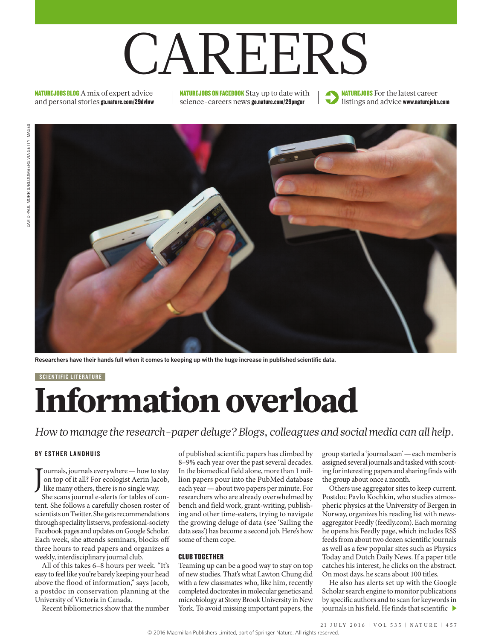# CAREERS

NATUREJOBS BLOG A mix of expert advice and personal stories go.nature.com/29dvlnw

NATUREJOBS ON FACEBOOK Stay up to date with science-careers news go.nature.com/29pngur

NATUREJOBS For the latest career listings and advice www.naturejobs.com



**Researchers have their hands full when it comes to keeping up with the huge increase in published scientific data.**

#### SCIENTIFIC LITERATURE

# Information overload

*How to manage the research-paper deluge? Blogs, colleagues and social media can all help.*

#### BY ESTHER LANDHUIS

J ournals, journals everywhere — how to stay on top of it all? For ecologist Aerin Jacob, like many others, there is no single way.

She scans journal e-alerts for tables of content. She follows a carefully chosen roster of scientists on Twitter. She gets recommendations through speciality listservs, professional-society Facebook pages and updates on Google Scholar. Each week, she attends seminars, blocks off three hours to read papers and organizes a weekly, interdisciplinary journal club.

All of this takes 6–8 hours per week. "It's easy to feel like you're barely keeping your head above the flood of information," says Jacob, a postdoc in conservation planning at the University of Victoria in Canada.

Recent bibliometrics show that the number

of published scientific papers has climbed by 8–9% each year over the past several decades. In the biomedical field alone, more than 1 million papers pour into the PubMed database each year — about two papers per minute. For researchers who are already overwhelmed by bench and field work, grant-writing, publishing and other time-eaters, trying to navigate the growing deluge of data (see 'Sailing the data seas') has become a second job. Here's how some of them cope.

#### CLUB TOGETHER

Teaming up can be a good way to stay on top of new studies. That's what Lawton Chung did with a few classmates who, like him, recently completed doctorates in molecular genetics and microbiology at Stony Brook University in New York. To avoid missing important papers, the

group started a 'journal scan' — each member is assigned several journals and tasked with scouting for interesting papers and sharing finds with the group about once a month.

Others use aggregator sites to keep current. Postdoc Pavlo Kochkin, who studies atmospheric physics at the University of Bergen in Norway, organizes his reading list with newsaggregator Feedly (feedly.com). Each morning he opens his Feedly page, which includes RSS feeds from about two dozen scientific journals as well as a few popular sites such as Physics Today and Dutch Daily News. If a paper title catches his interest, he clicks on the abstract. On most days, he scans about 100 titles.

He also has alerts set up with the Google Scholar search engine to monitor publications by specific authors and to scan for keywords in journals in his field. He finds that scientific